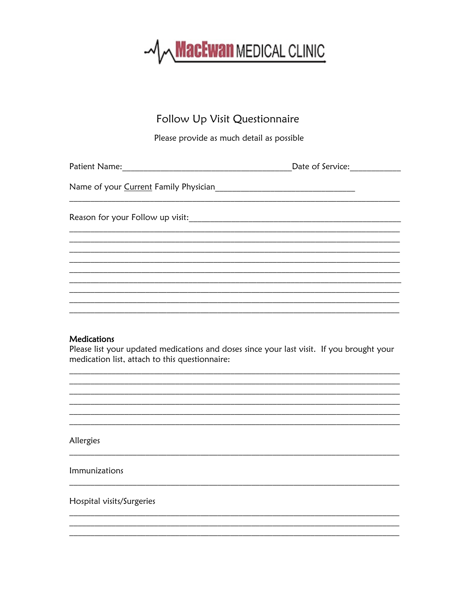

# Follow Up Visit Questionnaire

Please provide as much detail as possible

## **Medications**

Please list your updated medications and doses since your last visit. If you brought your medication list, attach to this questionnaire:

Allergies

Immunizations

Hospital visits/Surgeries